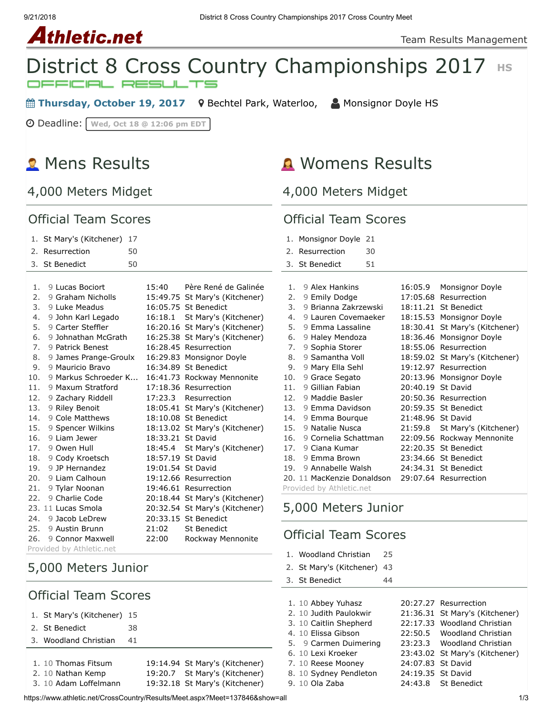# Athletic.net



**■ Thursday, October 19, 2017** 9 [Bechtel Park, Waterloo,](https://maps.google.com/maps?saddr=&daddr=Bechtel%20Park,%20185%20Bridge%20St.%20West,%20Waterloo%20N2K%201K8&hl=en) △ [Monsignor Doyle HS](https://www.athletic.net/CrossCountry/School.aspx?SchoolID=27459)

Deadline: **Wed, Oct 18 @ 12:06 pm EDT**

## **2** Mens Results

4,000 Meters Midget

#### Official Team Scores

### Womens Results

4,000 Meters Midget

1. [Woodland Christian](https://www.athletic.net/CrossCountry/School.aspx?SchoolID=27436) 25 2. [St Mary's \(Kitchener\)](https://www.athletic.net/CrossCountry/School.aspx?SchoolID=27485) 43 3. [St Benedict](https://www.athletic.net/CrossCountry/School.aspx?SchoolID=27484) 44

1. 10 [Abbey Yuhasz](https://www.athletic.net/CrossCountry/Athlete.aspx?AID=10634862#tTNaN) [20:27.27](https://www.athletic.net/result/OyFlWjxsrYwPV) [Resurrection](https://www.athletic.net/CrossCountry/School.aspx?SchoolID=27483)

7. 10 [Reese Mooney](https://www.athletic.net/CrossCountry/Athlete.aspx?AID=10630751#tTNaN) [24:07.83](https://www.athletic.net/result/yoFOjqlhWyvAj) [St David](https://www.athletic.net/CrossCountry/School.aspx?SchoolID=27464) 8. 10 [Sydney Pendleton](https://www.athletic.net/CrossCountry/Athlete.aspx?AID=12417842#tTNaN) [24:19.35](https://www.athletic.net/result/PlFBweocMR1Nj) [St David](https://www.athletic.net/CrossCountry/School.aspx?SchoolID=27464) 9. 10 [Ola Zaba](https://www.athletic.net/CrossCountry/Athlete.aspx?AID=10656743#tTNaN) [24:43.8](https://www.athletic.net/result/RxFJpzdiDrnWy) [St Benedict](https://www.athletic.net/CrossCountry/School.aspx?SchoolID=27484)

2. 10 [Judith Paulokwir](https://www.athletic.net/CrossCountry/Athlete.aspx?AID=12376393#tTNaN) [21:36.31](https://www.athletic.net/result/jKFjVvxFNBgX2) [St Mary's \(Kitchener\)](https://www.athletic.net/CrossCountry/School.aspx?SchoolID=27485) 3. 10 [Caitlin Shepherd](https://www.athletic.net/CrossCountry/Athlete.aspx?AID=10655751#tTNaN) [22:17.33](https://www.athletic.net/result/vwF4gA8Sro3y6) [Woodland Christian](https://www.athletic.net/CrossCountry/School.aspx?SchoolID=27436) 4. 10 [Elissa Gibson](https://www.athletic.net/CrossCountry/Athlete.aspx?AID=10655750#tTNaN) [22:50.5](https://www.athletic.net/result/rOFN6Kys42wOY) [Woodland Christian](https://www.athletic.net/CrossCountry/School.aspx?SchoolID=27436) 5. 9 [Carmen Duimering](https://www.athletic.net/CrossCountry/Athlete.aspx?AID=12362725#tTNaN) [23:23.3](https://www.athletic.net/result/jKFjVvxFNBnYm) [Woodland Christian](https://www.athletic.net/CrossCountry/School.aspx?SchoolID=27436) 6. 10 [Lexi Kroeker](https://www.athletic.net/CrossCountry/Athlete.aspx?AID=12376420#tTNaN) [23:43.02](https://www.athletic.net/result/1QFN3ZDsJ0jaj) [St Mary's \(Kitchener\)](https://www.athletic.net/CrossCountry/School.aspx?SchoolID=27485)

| <b>Official Team Scores</b>                           |                             |                   | <b>Official Team Scores</b>    |     |                            |  |                   |                                |
|-------------------------------------------------------|-----------------------------|-------------------|--------------------------------|-----|----------------------------|--|-------------------|--------------------------------|
|                                                       | 1. St Mary's (Kitchener) 17 |                   |                                |     | 1. Monsignor Doyle 21      |  |                   |                                |
| 2. Resurrection<br>50                                 |                             |                   |                                |     | 2. Resurrection<br>30      |  |                   |                                |
|                                                       | 50<br>3. St Benedict        |                   |                                |     | 51<br>3. St Benedict       |  |                   |                                |
|                                                       |                             |                   |                                |     |                            |  |                   |                                |
|                                                       | 9 Lucas Bociort<br>1.       | 15:40             | Père René de Galinée           | 1.  | 9 Alex Hankins             |  | 16:05.9           | Monsignor Doyle                |
|                                                       | 9 Graham Nicholls<br>2.     |                   | 15:49.75 St Mary's (Kitchener) | 2.  | 9 Emily Dodge              |  |                   | 17:05.68 Resurrection          |
|                                                       | 3.<br>9 Luke Meadus         |                   | 16:05.75 St Benedict           | 3.  | 9 Brianna Zakrzewski       |  |                   | 18:11.21 St Benedict           |
| 4.                                                    | 9 John Karl Legado          |                   | 16:18.1 St Mary's (Kitchener)  | 4.  | 9 Lauren Covemaeker        |  |                   | 18:15.53 Monsignor Doyle       |
|                                                       | 5.<br>9 Carter Steffler     |                   | 16:20.16 St Mary's (Kitchener) | 5.  | 9 Emma Lassaline           |  |                   | 18:30.41 St Mary's (Kitchener) |
|                                                       | 9 Johnathan McGrath<br>6.   |                   | 16:25.38 St Mary's (Kitchener) | 6.  | 9 Haley Mendoza            |  |                   | 18:36.46 Monsignor Doyle       |
|                                                       | 9 Patrick Benest<br>7.      |                   | 16:28.45 Resurrection          | 7.  | 9 Sophia Storer            |  |                   | 18:55.06 Resurrection          |
|                                                       | 9 James Prange-Groulx<br>8. |                   | 16:29.83 Monsignor Doyle       | 8.  | 9 Samantha Voll            |  |                   | 18:59.02 St Mary's (Kitchener) |
|                                                       | 9.<br>9 Mauricio Bravo      |                   | 16:34.89 St Benedict           | 9.  | 9 Mary Ella Sehl           |  |                   | 19:12.97 Resurrection          |
| 10.                                                   | 9 Markus Schroeder K        |                   | 16:41.73 Rockway Mennonite     | 10. | 9 Grace Segato             |  |                   | 20:13.96 Monsignor Doyle       |
| 11.                                                   | 9 Maxum Stratford           |                   | 17:18.36 Resurrection          | 11. | 9 Gillian Fabian           |  | 20:40.19 St David |                                |
| 12.                                                   | 9 Zachary Riddell           |                   | 17:23.3 Resurrection           | 12. | 9 Maddie Basler            |  |                   | 20:50.36 Resurrection          |
| 13.                                                   | 9 Riley Benoit              |                   | 18:05.41 St Mary's (Kitchener) |     | 13. 9 Emma Davidson        |  |                   | 20:59.35 St Benedict           |
| 14.                                                   | 9 Cole Matthews             |                   | 18:10.08 St Benedict           |     | 14. 9 Emma Bourgue         |  | 21:48.96 St David |                                |
| 15.                                                   | 9 Spencer Wilkins           |                   | 18:13.02 St Mary's (Kitchener) | 15. | 9 Natalie Nusca            |  | 21:59.8           | St Mary's (Kitchener)          |
| 16.                                                   | 9 Liam Jewer                | 18:33.21 St David |                                | 16. | 9 Cornelia Schattman       |  |                   | 22:09.56 Rockway Mennonite     |
| 17.                                                   | 9 Owen Hull                 |                   | 18:45.4 St Mary's (Kitchener)  | 17. | 9 Ciana Kumar              |  |                   | 22:20.35 St Benedict           |
| 18.                                                   | 9 Cody Kroetsch             | 18:57.19 St David |                                | 18. | 9 Emma Brown               |  |                   | 23:34.66 St Benedict           |
| 19.                                                   | 9 JP Hernandez              | 19:01.54 St David |                                | 19. | 9 Annabelle Walsh          |  |                   | 24:34.31 St Benedict           |
| 20.                                                   | 9 Liam Calhoun              |                   | 19:12.66 Resurrection          |     | 20. 11 MacKenzie Donaldson |  |                   | 29:07.64 Resurrection          |
| 21.                                                   | 9 Tylar Noonan              |                   | 19:46.61 Resurrection          |     | Provided by Athletic.net   |  |                   |                                |
| 22.                                                   | 9 Charlie Code              |                   | 20:18.44 St Mary's (Kitchener) |     |                            |  |                   |                                |
|                                                       | 23. 11 Lucas Smola          |                   | 20:32.54 St Mary's (Kitchener) |     | 5,000 Meters Junior        |  |                   |                                |
|                                                       | 24. 9 Jacob LeDrew          |                   | 20:33.15 St Benedict           |     |                            |  |                   |                                |
| 25.                                                   | 9 Austin Brunn              | 21:02             | <b>St Benedict</b>             |     |                            |  |                   |                                |
| 9 Connor Maxwell<br>22:00<br>Rockway Mennonite<br>26. |                             |                   | <b>Official Team Scores</b>    |     |                            |  |                   |                                |
|                                                       | Provided by Athletic.net    |                   |                                |     |                            |  |                   |                                |

## 5,000 Meters Junior

#### Official Team Scores

- 1. [St Mary's \(Kitchener\)](https://www.athletic.net/CrossCountry/School.aspx?SchoolID=27485) 15
- 2. [St Benedict](https://www.athletic.net/CrossCountry/School.aspx?SchoolID=27484) 38
- 3. [Woodland Christian](https://www.athletic.net/CrossCountry/School.aspx?SchoolID=27436) 41
- 1. 10 [Thomas Fitsum](https://www.athletic.net/CrossCountry/Athlete.aspx?AID=12376373#tTNaN) [19:14.94](https://www.athletic.net/result/oxFrD85hWA4ny) [St Mary's \(Kitchener\)](https://www.athletic.net/CrossCountry/School.aspx?SchoolID=27485)
- 2. 10 [Nathan Kemp](https://www.athletic.net/CrossCountry/Athlete.aspx?AID=10611049#tTNaN) [19:20.7](https://www.athletic.net/result/YyFyD3OHA48Qw) [St Mary's \(Kitchener\)](https://www.athletic.net/CrossCountry/School.aspx?SchoolID=27485)
	-
- 3. 10 [Adam Loffelmann](https://www.athletic.net/CrossCountry/Athlete.aspx?AID=10611051#tTNaN) [19:32.18](https://www.athletic.net/result/yoFOjqlhWyk6w) [St Mary's \(Kitchener\)](https://www.athletic.net/CrossCountry/School.aspx?SchoolID=27485)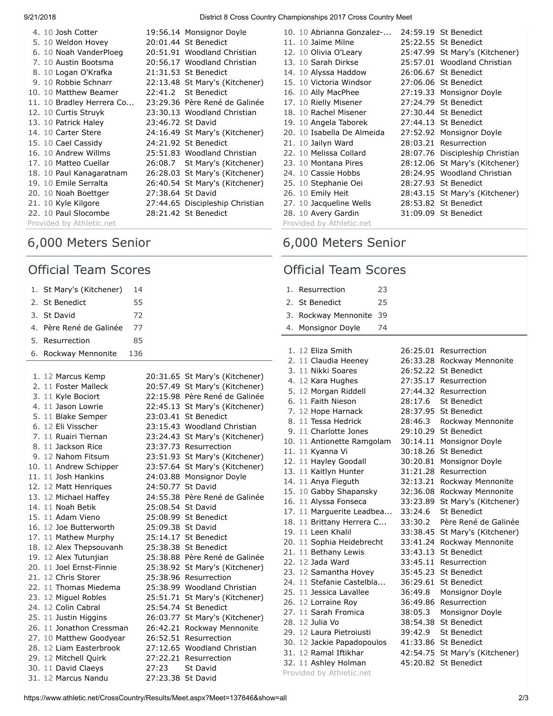9/21/2018 District 8 Cross Country Championships 2017 Cross Country Meet

|                          | 4. 10 Josh Cotter         |                   | 19:56.14 Monsignor Doyle        |  |  |
|--------------------------|---------------------------|-------------------|---------------------------------|--|--|
|                          | 5. 10 Weldon Hovey        |                   | 20:01.44 St Benedict            |  |  |
|                          | 6. 10 Noah VanderPloeg    |                   | 20:51.91 Woodland Christian     |  |  |
|                          | 7. 10 Austin Bootsma      |                   | 20:56.17 Woodland Christian     |  |  |
|                          | 8. 10 Logan O'Krafka      |                   | 21:31.53 St Benedict            |  |  |
|                          | 9. 10 Robbie Schnarr      |                   | 22:13.48 St Mary's (Kitchener)  |  |  |
|                          | 10. 10 Matthew Beamer     |                   | 22:41.2 St Benedict             |  |  |
|                          | 11. 10 Bradley Herrera Co |                   | 23:29.36 Père René de Galinée   |  |  |
|                          | 12. 10 Curtis Struyk      |                   | 23:30.13 Woodland Christian     |  |  |
|                          | 13. 10 Patrick Haley      | 23:46.72 St David |                                 |  |  |
|                          | 14. 10 Carter Stere       |                   | 24:16.49 St Mary's (Kitchener)  |  |  |
|                          | 15. 10 Cael Cassidy       |                   | 24:21.92 St Benedict            |  |  |
|                          | 16. 10 Andrew Willms      |                   | 25:51.83 Woodland Christian     |  |  |
|                          | 17. 10 Matteo Cuellar     |                   | 26:08.7 St Mary's (Kitchener)   |  |  |
|                          | 18. 10 Paul Kanagaratnam  |                   | 26:28.03 St Mary's (Kitchener)  |  |  |
|                          | 19. 10 Emile Serralta     |                   | 26:40.54 St Mary's (Kitchener)  |  |  |
|                          | 20. 10 Noah Boettger      | 27:38.64 St David |                                 |  |  |
|                          | 21. 10 Kyle Kilgore       |                   | 27:44.65 Discipleship Christian |  |  |
|                          | 22. 10 Paul Slocombe      |                   | 28:21.42 St Benedict            |  |  |
| Provided by Athletic.net |                           |                   |                                 |  |  |

### 6,000 Meters Senior

#### Official Team Scores

|    | 1. St Mary's (Kitchener) | 14  |                   |                                |
|----|--------------------------|-----|-------------------|--------------------------------|
|    | 2. St Benedict           | 55  |                   |                                |
|    | 3. St David              | 72  |                   |                                |
|    | 4. Père René de Galinée  | 77  |                   |                                |
| 5. | Resurrection             | 85  |                   |                                |
|    | 6. Rockway Mennonite     | 136 |                   |                                |
|    |                          |     |                   |                                |
|    | 1. 12 Marcus Kemp        |     |                   | 20:31.65 St Mary's (Kitchener) |
|    | 2. 11 Foster Malleck     |     |                   | 20:57.49 St Mary's (Kitchener) |
|    | 3. 11 Kyle Bociort       |     |                   | 22:15.98 Père René de Galinée  |
|    | 4. 11 Jason Lowrie       |     |                   | 22:45.13 St Mary's (Kitchener) |
|    | 5. 11 Blake Semper       |     |                   | 23:03.41 St Benedict           |
|    | 6. 12 Eli Visscher       |     |                   | 23:15.43 Woodland Christian    |
|    | 7. 11 Ruairi Tiernan     |     |                   | 23:24.43 St Mary's (Kitchener) |
|    | 8. 11 Jackson Rice       |     |                   | 23:37.73 Resurrection          |
|    | 9. 12 Nahom Fitsum       |     |                   | 23:51.93 St Mary's (Kitchener) |
|    | 10. 11 Andrew Schipper   |     |                   | 23:57.64 St Mary's (Kitchener) |
|    | 11. 11 Josh Hankins      |     |                   | 24:03.88 Monsignor Doyle       |
|    | 12. 12 Matt Henriques    |     | 24:50.77 St David |                                |
|    | 13. 12 Michael Haffey    |     |                   | 24:55.38 Père René de Galinée  |
|    | 14. 11 Noah Betik        |     | 25:08.54 St David |                                |

15. 11 [Adam Vieno](https://www.athletic.net/CrossCountry/Athlete.aspx?AID=10656682#tTNaN) [25:08.99](https://www.athletic.net/result/J3FnBxAT4DB2e) [St Benedict](https://www.athletic.net/CrossCountry/School.aspx?SchoolID=27484) 16. 12 [Joe Butterworth](https://www.athletic.net/CrossCountry/Athlete.aspx?AID=10630731#tTNaN) [25:09.38](https://www.athletic.net/result/4qFrZDkheyVZ4) [St David](https://www.athletic.net/CrossCountry/School.aspx?SchoolID=27464) 17. 11 [Mathew Murphy](https://www.athletic.net/CrossCountry/Athlete.aspx?AID=9805498#tTNaN) [25:14.17](https://www.athletic.net/result/z3FRNB0HEeXyY) [St Benedict](https://www.athletic.net/CrossCountry/School.aspx?SchoolID=27484) 18. 12 [Alex Thepsouvanh](https://www.athletic.net/CrossCountry/Athlete.aspx?AID=7421177#tTNaN) [25:38.38](https://www.athletic.net/result/goFPjMztNl8B8) [St Benedict](https://www.athletic.net/CrossCountry/School.aspx?SchoolID=27484) 19. 12 [Alex Tutunjian](https://www.athletic.net/CrossCountry/Athlete.aspx?AID=8795828#tTNaN) [25:38.88](https://www.athletic.net/result/EdFZzyeFqzMDE) [Père René de Galinée](https://www.athletic.net/CrossCountry/School.aspx?SchoolID=47329) 20. 11 [Joel Ernst-Finnie](https://www.athletic.net/CrossCountry/Athlete.aspx?AID=8795084#tTNaN) [25:38.92](https://www.athletic.net/result/XwFxZY1cadP4x) [St Mary's \(Kitchener\)](https://www.athletic.net/CrossCountry/School.aspx?SchoolID=27485) 21. 12 [Chris Storer](https://www.athletic.net/CrossCountry/Athlete.aspx?AID=8155551#tTNaN) [25:38.96](https://www.athletic.net/result/e2F2qBNF6yK1n) [Resurrection](https://www.athletic.net/CrossCountry/School.aspx?SchoolID=27483) 22. 11 [Thomas Miedema](https://www.athletic.net/CrossCountry/Athlete.aspx?AID=8789757#tTNaN) [25:38.99](https://www.athletic.net/result/pwFZJkoFjpdgY) [Woodland Christian](https://www.athletic.net/CrossCountry/School.aspx?SchoolID=27436) 23. 12 [Miguel Robles](https://www.athletic.net/CrossCountry/Athlete.aspx?AID=7478083#tTNaN) [25:51.71](https://www.athletic.net/result/qyF0ZMLtmW2xN) [St Mary's \(Kitchener\)](https://www.athletic.net/CrossCountry/School.aspx?SchoolID=27485) 24. 12 [Colin Cabral](https://www.athletic.net/CrossCountry/Athlete.aspx?AID=8221965#tTNaN) [25:54.74](https://www.athletic.net/result/WBFexARFQ21mE) [St Benedict](https://www.athletic.net/CrossCountry/School.aspx?SchoolID=27484) 25. 11 [Justin Higgins](https://www.athletic.net/CrossCountry/Athlete.aspx?AID=8791352#tTNaN) [26:03.77](https://www.athletic.net/result/ZlF345oS8lx5z) [St Mary's \(Kitchener\)](https://www.athletic.net/CrossCountry/School.aspx?SchoolID=27485) 26. 11 [Jonathon Cressman](https://www.athletic.net/CrossCountry/Athlete.aspx?AID=12432648#tTNaN) [26:42.21](https://www.athletic.net/result/J3FnBxATaQWmZ) [Rockway Mennonite](https://www.athletic.net/CrossCountry/School.aspx?SchoolID=27431) 27. 10 [Matthew Goodyear](https://www.athletic.net/CrossCountry/Athlete.aspx?AID=10634860#tTNaN) [26:52.51](https://www.athletic.net/result/z3FRNB0HEyAg3) [Resurrection](https://www.athletic.net/CrossCountry/School.aspx?SchoolID=27483) 28. 12 [Liam Easterbrook](https://www.athletic.net/CrossCountry/Athlete.aspx?AID=7420442#tTNaN) [27:12.65](https://www.athletic.net/result/2qFL5dmFw2Xg3) [Woodland Christian](https://www.athletic.net/CrossCountry/School.aspx?SchoolID=27436) 29. 12 [Mitchell Quirk](https://www.athletic.net/CrossCountry/Athlete.aspx?AID=11751485#tTNaN) [27:22.21](https://www.athletic.net/result/goFPjMztA8rlz) [Resurrection](https://www.athletic.net/CrossCountry/School.aspx?SchoolID=27483)

30. 11 [David Claeys](https://www.athletic.net/CrossCountry/Athlete.aspx?AID=12421130#tTNaN) [27:23](https://www.athletic.net/result/OyFlWjxsdjRZV) [St David](https://www.athletic.net/CrossCountry/School.aspx?SchoolID=27464) 31. 12 [Marcus Nandu](https://www.athletic.net/CrossCountry/Athlete.aspx?AID=10630747#tTNaN) [27:23.38](https://www.athletic.net/result/RxFJpzdiDLRKZ) [St David](https://www.athletic.net/CrossCountry/School.aspx?SchoolID=27464)

| 10. 10 Abrianna Gonzalez-  |          | 24:59.19 St Benedict            |
|----------------------------|----------|---------------------------------|
| 11. 10 Jaime Milne         |          | 25:22.55 St Benedict            |
| 12. 10 Olivia O'Leary      |          | 25:47.99 St Mary's (Kitchener)  |
| 13. 10 Sarah Dirkse        |          | 25:57.01 Woodland Christian     |
| 14. 10 Alyssa Haddow       |          | 26:06.67 St Benedict            |
| 15. 10 Victoria Windsor    |          | 27:06.06 St Benedict            |
| 16. 10 Ally MacPhee        |          | 27:19.33 Monsignor Doyle        |
| 17. 10 Rielly Misener      |          | 27:24.79 St Benedict            |
| 18. 10 Rachel Misener      |          | 27:30.44 St Benedict            |
| 19. 10 Angela Taborek      |          | 27:44.13 St Benedict            |
| 20. 10 Isabella De Almeida |          | 27:52.92 Monsignor Doyle        |
| 21. 10 Jailyn Ward         |          | 28:03.21 Resurrection           |
| 22. 10 Melissa Collard     |          | 28:07.76 Discipleship Christian |
| 23. 10 Montana Pires       |          | 28:12.06 St Mary's (Kitchener)  |
| 24. 10 Cassie Hobbs        |          | 28:24.95 Woodland Christian     |
| 25. 10 Stephanie Oei       | 28:27.93 | <b>St Benedict</b>              |
| 26. 10 Emily Heit          |          | 28:43.15 St Mary's (Kitchener)  |
| 27. 10 Jacqueline Wells    |          | 28:53.82 St Benedict            |
| 28. 10 Avery Gardin        |          | 31:09.09 St Benedict            |
| Provided by Athletic.net   |          |                                 |

### 6,000 Meters Senior

#### Official Team Scores

| 1. Resurrection         | 23 |
|-------------------------|----|
| 2. St Benedict          | 25 |
| 3. Rockway Mennonite 39 |    |
| 4. Monsignor Doyle      | 74 |

|  | 1. 12 Eliza Smith                             | 26:25.01 | Resurrection               |
|--|-----------------------------------------------|----------|----------------------------|
|  | 2. 11 Claudia Heeney                          |          | 26:33.28 Rockway Mennonite |
|  | 3. 11 Nikki Soares                            |          | 26:52.22 St Benedict       |
|  | 4. 12 Kara Hughes                             |          | 27:35.17 Resurrection      |
|  | 5. 12 Morgan Riddell                          |          | 27:44.32 Resurrection      |
|  | 6. 11 Faith Nieson                            | 28:17.6  | <b>St Benedict</b>         |
|  | 7. 12 Hope Harnack                            |          | 28:37.95 St Benedict       |
|  | 8. 11 Tessa Hedrick                           | 28:46.3  | Rockway Mennonite          |
|  | 9. 11 Charlotte Jones                         | 29:10.29 | <b>St Benedict</b>         |
|  | 10. 11 Antionette Ramgolam                    | 30:14.11 | Monsignor Doyle            |
|  | 11. 11 Kyanna Vi                              | 30:18.26 | St Benedict                |
|  | 12. 11 Hayley Goodall                         | 30:20.81 | Monsignor Doyle            |
|  | 13. 11 Kaitlyn Hunter                         | 31:21.28 | Resurrection               |
|  | 14. 11 Anya Fieguth                           | 32:13.21 | Rockway Mennonite          |
|  | 15. 10 Gabby Shapansky                        | 32:36.08 | Rockway Mennonite          |
|  | 16. 11 Alyssa Fonseca                         | 33:23.89 | St Mary's (Kitchener)      |
|  | 17. 11 Marguerite Leadbea                     | 33:24.6  | St Benedict                |
|  | 18. 11 Brittany Herrera C                     | 33:30.2  | Père René de Galinée       |
|  | 19. 11 Leen Khalil                            | 33:38.45 | St Mary's (Kitchener)      |
|  | 20. 11 Sophia Heidebrecht                     | 33:41.24 | Rockway Mennonite          |
|  | 21. 11 Bethany Lewis                          | 33:43.13 | St Benedict                |
|  | 22. 12 Jada Ward                              | 33:45.11 | Resurrection               |
|  | 23. 12 Samantha Hovey                         | 35:45.23 | <b>St Benedict</b>         |
|  |                                               |          |                            |
|  | 24. 11 Stefanie Castelbla                     | 36:29.61 | <b>St Benedict</b>         |
|  | 25. 11 Jessica Lavallee                       | 36:49.8  | Monsignor Doyle            |
|  | 26. 12 Lorraine Roy                           | 36:49.86 | Resurrection               |
|  | 27. 11 Sarah Fromica                          | 38:05.3  | Monsignor Doyle            |
|  | 28. 12 Julia Vo                               | 38:54.38 | <b>St Benedict</b>         |
|  | 29. 12 Laura Pietroiusti                      | 39:42.9  | <b>St Benedict</b>         |
|  | 30. 12 Jackie Papadopoulos                    |          | 41:33.86 St Benedict       |
|  | 31. 12 Ramal Iftikhar<br>32. 11 Ashley Holman | 42:54.75 | St Mary's (Kitchener)      |

Provided by Athletic.net